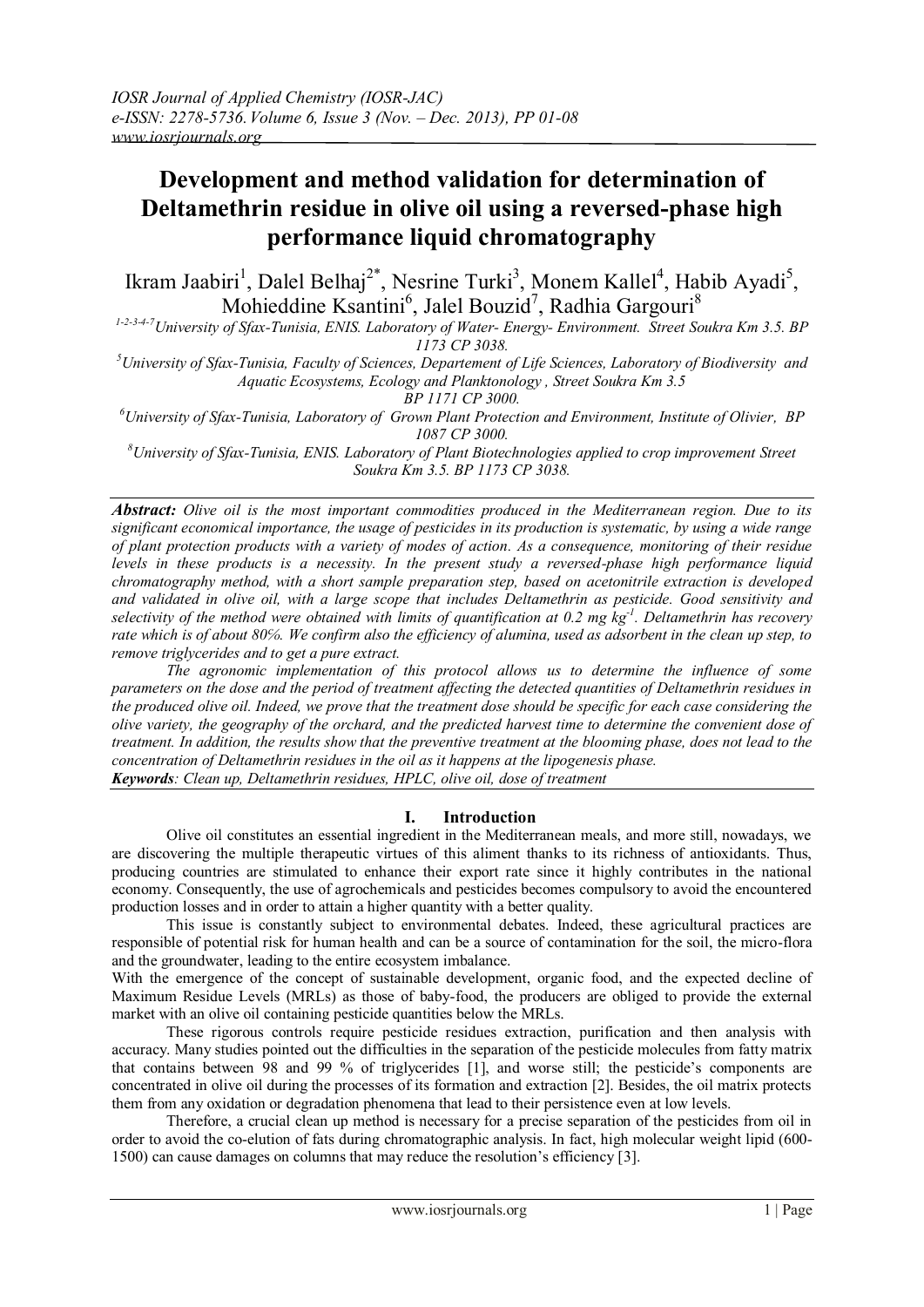# **Development and method validation for determination of Deltamethrin residue in olive oil using a reversed-phase high performance liquid chromatography**

Ikram Jaabiri<sup>1</sup>, Dalel Belhaj<sup>2\*</sup>, Nesrine Turki<sup>3</sup>, Monem Kallel<sup>4</sup>, Habib Ayadi<sup>5</sup>, Mohieddine Ksantini<sup>6</sup>, Jalel Bouzid<sup>7</sup>, Radhia Gargouri<sup>8</sup>

*1-2-3-4-7University of Sfax-Tunisia, ENIS. Laboratory of Water- Energy- Environment. Street Soukra Km 3.5. BP 1173 CP 3038.* 

*<sup>5</sup>University of Sfax-Tunisia, Faculty of Sciences, Departement of Life Sciences, Laboratory of Biodiversity and Aquatic Ecosystems, Ecology and Planktonology , Street Soukra Km 3.5* 

*BP 1171 CP 3000.*

*<sup>6</sup>University of Sfax-Tunisia, Laboratory of Grown Plant Protection and Environment, Institute of Olivier, BP 1087 CP 3000.*

*<sup>8</sup>University of Sfax-Tunisia, ENIS. Laboratory of Plant Biotechnologies applied to crop improvement Street Soukra Km 3.5. BP 1173 CP 3038.* 

*Abstract: Olive oil is the most important commodities produced in the Mediterranean region. Due to its significant economical importance, the usage of pesticides in its production is systematic, by using a wide range of plant protection products with a variety of modes of action. As a consequence, monitoring of their residue levels in these products is a necessity. In the present study a reversed-phase high performance liquid chromatography method, with a short sample preparation step, based on acetonitrile extraction is developed and validated in olive oil, with a large scope that includes Deltamethrin as pesticide. Good sensitivity and selectivity of the method were obtained with limits of quantification at 0.2 mg kg-1 . Deltamethrin has recovery rate which is of about 80℅. We confirm also the efficiency of alumina, used as adsorbent in the clean up step, to remove triglycerides and to get a pure extract.* 

*The agronomic implementation of this protocol allows us to determine the influence of some parameters on the dose and the period of treatment affecting the detected quantities of Deltamethrin residues in the produced olive oil. Indeed, we prove that the treatment dose should be specific for each case considering the olive variety, the geography of the orchard, and the predicted harvest time to determine the convenient dose of treatment. In addition, the results show that the preventive treatment at the blooming phase, does not lead to the concentration of Deltamethrin residues in the oil as it happens at the lipogenesis phase. Keywords: Clean up, Deltamethrin residues, HPLC, olive oil, dose of treatment*

**I. Introduction**

Olive oil constitutes an essential ingredient in the Mediterranean meals, and more still, nowadays, we are discovering the multiple therapeutic virtues of this aliment thanks to its richness of antioxidants. Thus, producing countries are stimulated to enhance their export rate since it highly contributes in the national economy. Consequently, the use of agrochemicals and pesticides becomes compulsory to avoid the encountered production losses and in order to attain a higher quantity with a better quality.

This issue is constantly subject to environmental debates. Indeed, these agricultural practices are responsible of potential risk for human health and can be a source of contamination for the soil, the micro-flora and the groundwater, leading to the entire ecosystem imbalance.

With the emergence of the concept of sustainable development, organic food, and the expected decline of Maximum Residue Levels (MRLs) as those of baby-food, the producers are obliged to provide the external market with an olive oil containing pesticide quantities below the MRLs.

These rigorous controls require pesticide residues extraction, purification and then analysis with accuracy. Many studies pointed out the difficulties in the separation of the pesticide molecules from fatty matrix that contains between 98 and 99 % of triglycerides [1], and worse still; the pesticide's components are concentrated in olive oil during the processes of its formation and extraction [2]. Besides, the oil matrix protects them from any oxidation or degradation phenomena that lead to their persistence even at low levels.

Therefore, a crucial clean up method is necessary for a precise separation of the pesticides from oil in order to avoid the co-elution of fats during chromatographic analysis. In fact, high molecular weight lipid (600- 1500) can cause damages on columns that may reduce the resolution's efficiency [3].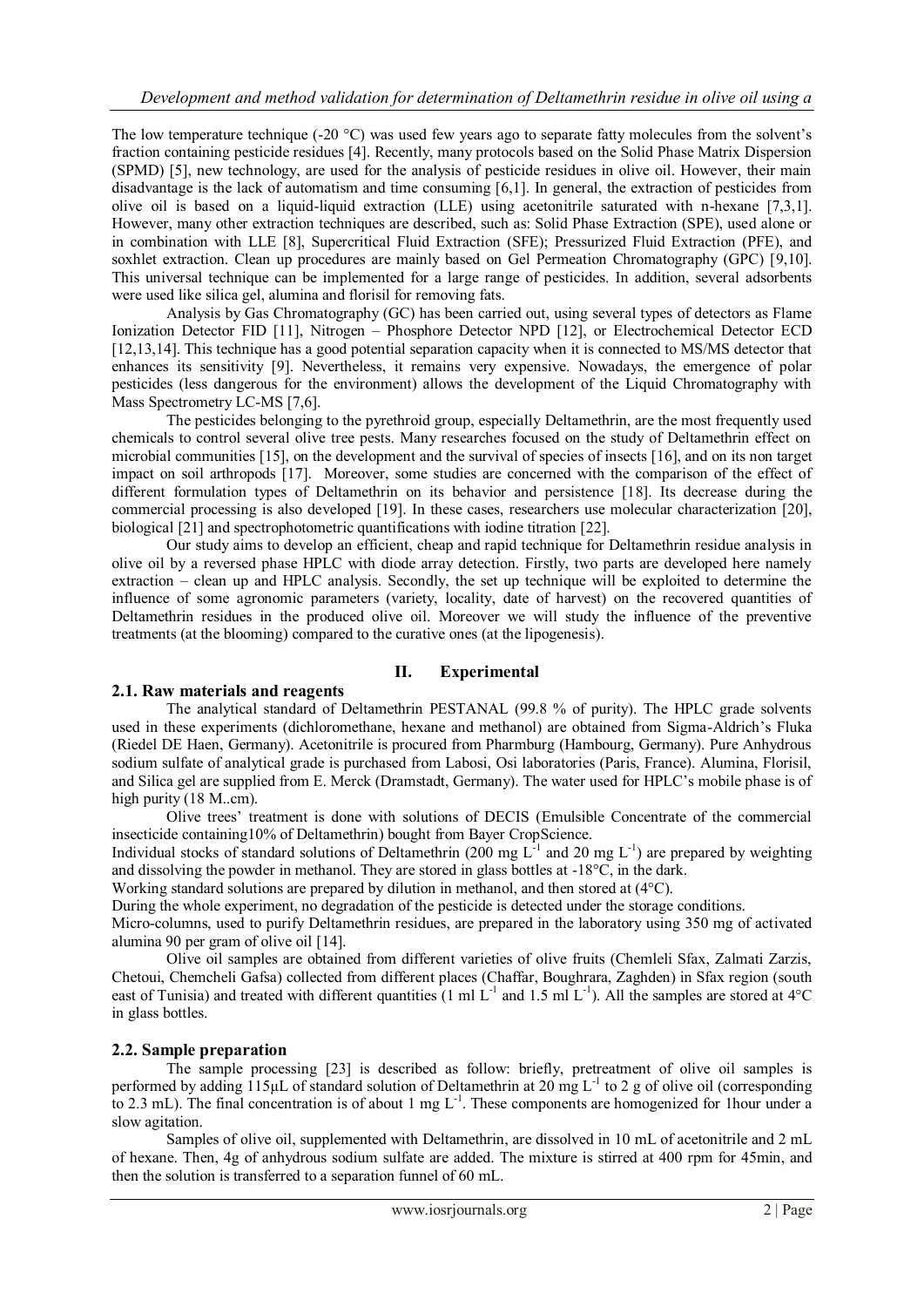The low temperature technique (-20  $^{\circ}$ C) was used few years ago to separate fatty molecules from the solvent's fraction containing pesticide residues [4]. Recently, many protocols based on the Solid Phase Matrix Dispersion (SPMD) [5], new technology, are used for the analysis of pesticide residues in olive oil. However, their main disadvantage is the lack of automatism and time consuming [6,1]. In general, the extraction of pesticides from olive oil is based on a liquid-liquid extraction (LLE) using acetonitrile saturated with n-hexane [7,3,1]. However, many other extraction techniques are described, such as: Solid Phase Extraction (SPE), used alone or in combination with LLE [8], Supercritical Fluid Extraction (SFE); Pressurized Fluid Extraction (PFE), and soxhlet extraction. Clean up procedures are mainly based on Gel Permeation Chromatography (GPC) [9,10]. This universal technique can be implemented for a large range of pesticides. In addition, several adsorbents were used like silica gel, alumina and florisil for removing fats.

Analysis by Gas Chromatography (GC) has been carried out, using several types of detectors as Flame Ionization Detector FID [11], Nitrogen – Phosphore Detector NPD [12], or Electrochemical Detector ECD [12,13,14]. This technique has a good potential separation capacity when it is connected to MS/MS detector that enhances its sensitivity [9]. Nevertheless, it remains very expensive. Nowadays, the emergence of polar pesticides (less dangerous for the environment) allows the development of the Liquid Chromatography with Mass Spectrometry LC-MS [7,6].

The pesticides belonging to the pyrethroid group, especially Deltamethrin, are the most frequently used chemicals to control several olive tree pests. Many researches focused on the study of Deltamethrin effect on microbial communities [15], on the development and the survival of species of insects [16], and on its non target impact on soil arthropods [17]. Moreover, some studies are concerned with the comparison of the effect of different formulation types of Deltamethrin on its behavior and persistence [18]. Its decrease during the commercial processing is also developed [19]. In these cases, researchers use molecular characterization [20], biological [21] and spectrophotometric quantifications with iodine titration [22].

Our study aims to develop an efficient, cheap and rapid technique for Deltamethrin residue analysis in olive oil by a reversed phase HPLC with diode array detection. Firstly, two parts are developed here namely extraction – clean up and HPLC analysis. Secondly, the set up technique will be exploited to determine the influence of some agronomic parameters (variety, locality, date of harvest) on the recovered quantities of Deltamethrin residues in the produced olive oil. Moreover we will study the influence of the preventive treatments (at the blooming) compared to the curative ones (at the lipogenesis).

## **II. Experimental**

#### **2.1. Raw materials and reagents**

The analytical standard of Deltamethrin PESTANAL (99.8 % of purity). The HPLC grade solvents used in these experiments (dichloromethane, hexane and methanol) are obtained from Sigma-Aldrich's Fluka (Riedel DE Haen, Germany). Acetonitrile is procured from Pharmburg (Hambourg, Germany). Pure Anhydrous sodium sulfate of analytical grade is purchased from Labosi, Osi laboratories (Paris, France). Alumina, Florisil, and Silica gel are supplied from E. Merck (Dramstadt, Germany). The water used for HPLC's mobile phase is of high purity (18 M..cm).

Olive trees' treatment is done with solutions of DECIS (Emulsible Concentrate of the commercial insecticide containing10% of Deltamethrin) bought from Bayer CropScience.

Individual stocks of standard solutions of Deltamethrin (200 mg  $L^{-1}$  and 20 mg  $L^{-1}$ ) are prepared by weighting and dissolving the powder in methanol. They are stored in glass bottles at -18°C, in the dark.

Working standard solutions are prepared by dilution in methanol, and then stored at (4°C).

During the whole experiment, no degradation of the pesticide is detected under the storage conditions.

Micro-columns, used to purify Deltamethrin residues, are prepared in the laboratory using 350 mg of activated alumina 90 per gram of olive oil [14].

Olive oil samples are obtained from different varieties of olive fruits (Chemleli Sfax, Zalmati Zarzis, Chetoui, Chemcheli Gafsa) collected from different places (Chaffar, Boughrara, Zaghden) in Sfax region (south east of Tunisia) and treated with different quantities  $(1 \text{ ml } L^{-1}$  and  $1.5 \text{ ml } L^{-1})$ . All the samples are stored at 4°C in glass bottles.

#### **2.2. Sample preparation**

The sample processing [23] is described as follow: briefly, pretreatment of olive oil samples is performed by adding  $115\mu$ L of standard solution of Deltamethrin at 20 mg L<sup>-1</sup> to 2 g of olive oil (corresponding to 2.3 mL). The final concentration is of about 1 mg  $L^{-1}$ . These components are homogenized for 1hour under a slow agitation.

Samples of olive oil, supplemented with Deltamethrin, are dissolved in 10 mL of acetonitrile and 2 mL of hexane. Then, 4g of anhydrous sodium sulfate are added. The mixture is stirred at 400 rpm for 45min, and then the solution is transferred to a separation funnel of 60 mL.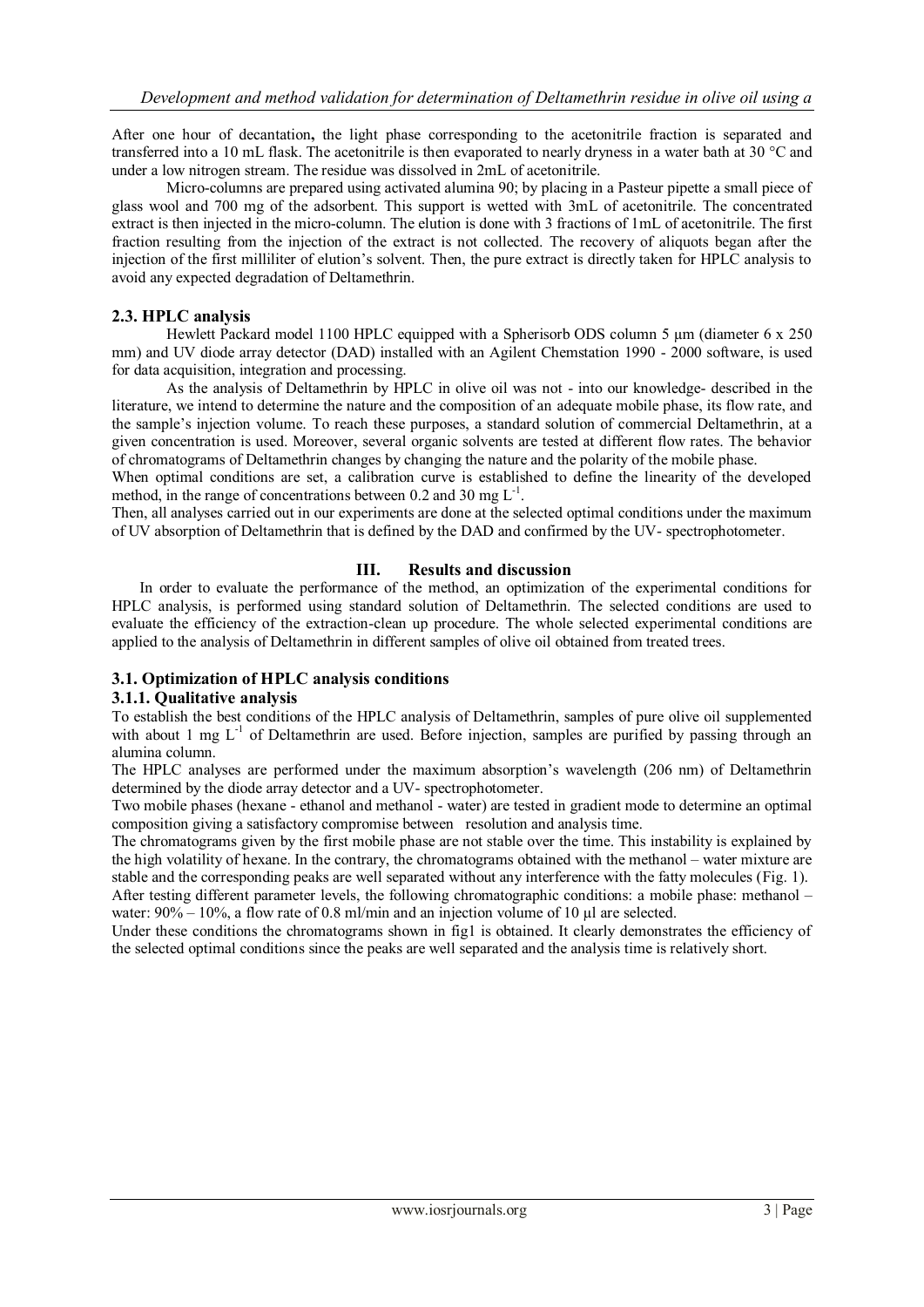After one hour of decantation**,** the light phase corresponding to the acetonitrile fraction is separated and transferred into a 10 mL flask. The acetonitrile is then evaporated to nearly dryness in a water bath at 30 °C and under a low nitrogen stream. The residue was dissolved in 2mL of acetonitrile.

Micro-columns are prepared using activated alumina 90; by placing in a Pasteur pipette a small piece of glass wool and 700 mg of the adsorbent. This support is wetted with 3mL of acetonitrile. The concentrated extract is then injected in the micro-column. The elution is done with 3 fractions of 1mL of acetonitrile. The first fraction resulting from the injection of the extract is not collected. The recovery of aliquots began after the injection of the first milliliter of elution's solvent. Then, the pure extract is directly taken for HPLC analysis to avoid any expected degradation of Deltamethrin.

#### **2.3. HPLC analysis**

Hewlett Packard model 1100 HPLC equipped with a Spherisorb ODS column 5  $\mu$ m (diameter 6 x 250) mm) and UV diode array detector (DAD) installed with an Agilent Chemstation 1990 - 2000 software, is used for data acquisition, integration and processing.

As the analysis of Deltamethrin by HPLC in olive oil was not - into our knowledge- described in the literature, we intend to determine the nature and the composition of an adequate mobile phase, its flow rate, and the sample's injection volume. To reach these purposes, a standard solution of commercial Deltamethrin, at a given concentration is used. Moreover, several organic solvents are tested at different flow rates. The behavior of chromatograms of Deltamethrin changes by changing the nature and the polarity of the mobile phase.

When optimal conditions are set, a calibration curve is established to define the linearity of the developed method, in the range of concentrations between 0.2 and 30 mg  $L^{-1}$ .

Then, all analyses carried out in our experiments are done at the selected optimal conditions under the maximum of UV absorption of Deltamethrin that is defined by the DAD and confirmed by the UV- spectrophotometer.

#### **III. Results and discussion**

In order to evaluate the performance of the method, an optimization of the experimental conditions for HPLC analysis, is performed using standard solution of Deltamethrin. The selected conditions are used to evaluate the efficiency of the extraction-clean up procedure. The whole selected experimental conditions are applied to the analysis of Deltamethrin in different samples of olive oil obtained from treated trees.

#### **3.1. Optimization of HPLC analysis conditions**

#### **3.1.1. Qualitative analysis**

To establish the best conditions of the HPLC analysis of Deltamethrin, samples of pure olive oil supplemented with about 1 mg L<sup>-1</sup> of Deltamethrin are used. Before injection, samples are purified by passing through an alumina column.

The HPLC analyses are performed under the maximum absorption's wavelength (206 nm) of Deltamethrin determined by the diode array detector and a UV- spectrophotometer.

Two mobile phases (hexane - ethanol and methanol - water) are tested in gradient mode to determine an optimal composition giving a satisfactory compromise between resolution and analysis time.

The chromatograms given by the first mobile phase are not stable over the time. This instability is explained by the high volatility of hexane. In the contrary, the chromatograms obtained with the methanol – water mixture are stable and the corresponding peaks are well separated without any interference with the fatty molecules (Fig. 1). After testing different parameter levels, the following chromatographic conditions: a mobile phase: methanol – water:  $90\% - 10\%$ , a flow rate of 0.8 ml/min and an injection volume of 10 µ are selected.

Under these conditions the chromatograms shown in fig1 is obtained. It clearly demonstrates the efficiency of the selected optimal conditions since the peaks are well separated and the analysis time is relatively short.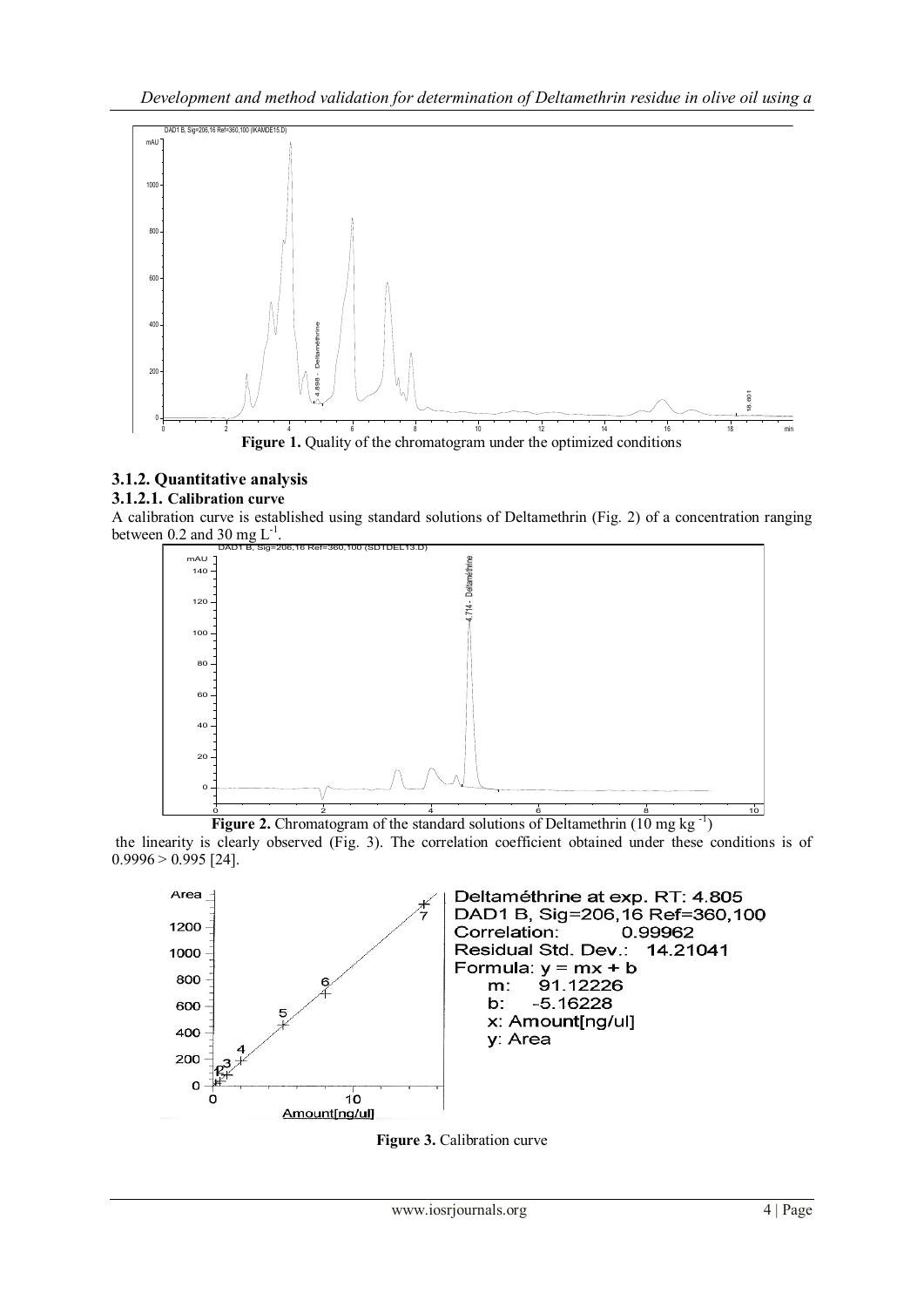

## **3.1.2. Quantitative analysis**

## **3.1.2.1. Calibration curve**

A calibration curve is established using standard solutions of Deltamethrin (Fig. 2) of a concentration ranging between 0.2 and 30 mg  $L^{-1}$ .



Figure 2. Chromatogram of the standard solutions of Deltamethrin (10 mg kg<sup>-1</sup>) the linearity is clearly observed (Fig. 3). The correlation coefficient obtained under these conditions is of  $0.9996 > 0.995$  [24].



**Figure 3.** Calibration curve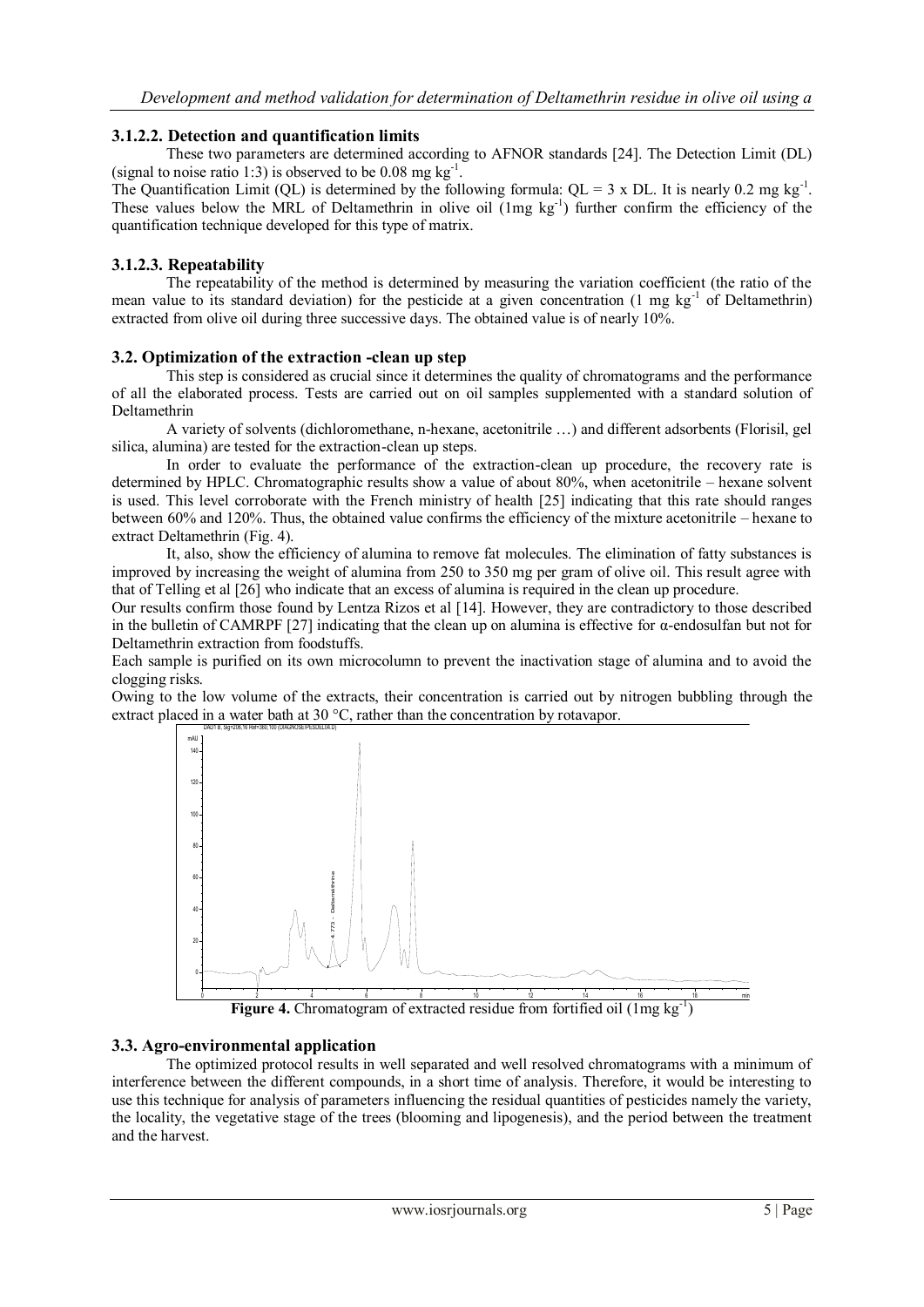## **3.1.2.2. Detection and quantification limits**

These two parameters are determined according to AFNOR standards [24]. The Detection Limit (DL) (signal to noise ratio 1:3) is observed to be 0.08 mg  $kg^{-1}$ .

The Quantification Limit (QL) is determined by the following formula:  $QL = 3 \times DL$ . It is nearly 0.2 mg kg<sup>-1</sup>. These values below the MRL of Deltamethrin in olive oil (1mg kg<sup>-1</sup>) further confirm the efficiency of the quantification technique developed for this type of matrix.

## **3.1.2.3. Repeatability**

The repeatability of the method is determined by measuring the variation coefficient (the ratio of the mean value to its standard deviation) for the pesticide at a given concentration  $(1 \text{ mg kg}^{-1} \text{ of Deltamentrin})$ extracted from olive oil during three successive days. The obtained value is of nearly 10%.

## **3.2. Optimization of the extraction -clean up step**

This step is considered as crucial since it determines the quality of chromatograms and the performance of all the elaborated process. Tests are carried out on oil samples supplemented with a standard solution of Deltamethrin

A variety of solvents (dichloromethane, n-hexane, acetonitrile …) and different adsorbents (Florisil, gel silica, alumina) are tested for the extraction-clean up steps.

In order to evaluate the performance of the extraction-clean up procedure, the recovery rate is determined by HPLC. Chromatographic results show a value of about 80%, when acetonitrile – hexane solvent is used. This level corroborate with the French ministry of health [25] indicating that this rate should ranges between 60% and 120%. Thus, the obtained value confirms the efficiency of the mixture acetonitrile – hexane to extract Deltamethrin (Fig. 4).

It, also, show the efficiency of alumina to remove fat molecules. The elimination of fatty substances is improved by increasing the weight of alumina from 250 to 350 mg per gram of olive oil. This result agree with that of Telling et al [26] who indicate that an excess of alumina is required in the clean up procedure.

Our results confirm those found by Lentza Rizos et al [14]. However, they are contradictory to those described in the bulletin of CAMRPF [27] indicating that the clean up on alumina is effective for  $\alpha$ -endosulfan but not for Deltamethrin extraction from foodstuffs.

Each sample is purified on its own microcolumn to prevent the inactivation stage of alumina and to avoid the clogging risks.

Owing to the low volume of the extracts, their concentration is carried out by nitrogen bubbling through the extract placed in a water bath at 30 °C, rather than the concentration by rotavapor.



Figure 4. Chromatogram of extracted residue from fortified oil (1mg kg<sup>-1</sup>)

### **3.3. Agro-environmental application**

The optimized protocol results in well separated and well resolved chromatograms with a minimum of interference between the different compounds, in a short time of analysis. Therefore, it would be interesting to use this technique for analysis of parameters influencing the residual quantities of pesticides namely the variety, the locality, the vegetative stage of the trees (blooming and lipogenesis), and the period between the treatment and the harvest.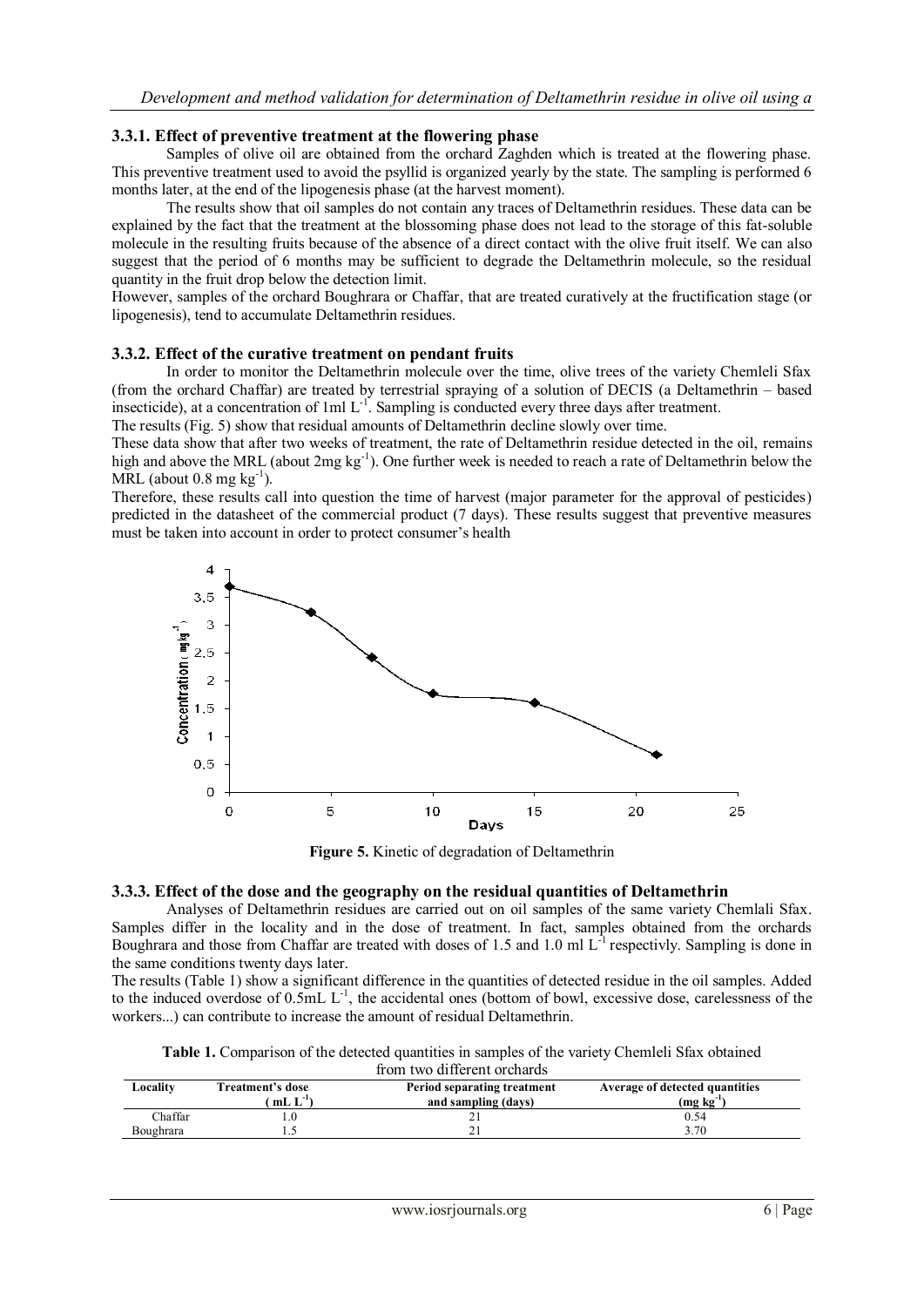## **3.3.1. Effect of preventive treatment at the flowering phase**

Samples of olive oil are obtained from the orchard Zaghden which is treated at the flowering phase. This preventive treatment used to avoid the psyllid is organized yearly by the state. The sampling is performed 6 months later, at the end of the lipogenesis phase (at the harvest moment).

The results show that oil samples do not contain any traces of Deltamethrin residues. These data can be explained by the fact that the treatment at the blossoming phase does not lead to the storage of this fat-soluble molecule in the resulting fruits because of the absence of a direct contact with the olive fruit itself. We can also suggest that the period of 6 months may be sufficient to degrade the Deltamethrin molecule, so the residual quantity in the fruit drop below the detection limit.

However, samples of the orchard Boughrara or Chaffar, that are treated curatively at the fructification stage (or lipogenesis), tend to accumulate Deltamethrin residues.

#### **3.3.2. Effect of the curative treatment on pendant fruits**

In order to monitor the Deltamethrin molecule over the time, olive trees of the variety Chemleli Sfax (from the orchard Chaffar) are treated by terrestrial spraying of a solution of DECIS (a Deltamethrin – based insecticide), at a concentration of  $1ml L<sup>-1</sup>$ . Sampling is conducted every three days after treatment.

The results (Fig. 5) show that residual amounts of Deltamethrin decline slowly over time.

These data show that after two weeks of treatment, the rate of Deltamethrin residue detected in the oil, remains high and above the MRL (about 2mg kg<sup>-1</sup>). One further week is needed to reach a rate of Deltamethrin below the MRL (about  $0.8 \text{ mg kg}^{-1}$ ).

Therefore, these results call into question the time of harvest (major parameter for the approval of pesticides) predicted in the datasheet of the commercial product (7 days). These results suggest that preventive measures must be taken into account in order to protect consumer's health



**Figure 5.** Kinetic of degradation of Deltamethrin

#### **3.3.3. Effect of the dose and the geography on the residual quantities of Deltamethrin**

Analyses of Deltamethrin residues are carried out on oil samples of the same variety Chemlali Sfax. Samples differ in the locality and in the dose of treatment. In fact, samples obtained from the orchards Boughrara and those from Chaffar are treated with doses of 1.5 and 1.0 ml L<sup>-1</sup> respectivly. Sampling is done in the same conditions twenty days later.

The results (Table 1) show a significant difference in the quantities of detected residue in the oil samples. Added to the induced overdose of  $0.5 \text{mL L}^1$ , the accidental ones (bottom of bowl, excessive dose, carelessness of the workers...) can contribute to increase the amount of residual Deltamethrin.

| <b>Table 1.</b> Comparison of the detected quantities in samples of the variety Chemleli Sfax obtained |  |  |  |  |
|--------------------------------------------------------------------------------------------------------|--|--|--|--|
| from two different orchards                                                                            |  |  |  |  |

| Locality  | Freatment's dose<br>$mL L^{-1}$ | Period separating treatment<br>and sampling (days) | Average of detected quantities<br>$(mg kg^{-1})$ |  |
|-----------|---------------------------------|----------------------------------------------------|--------------------------------------------------|--|
| Chaffar   |                                 |                                                    | 0.54                                             |  |
| Boughrara |                                 |                                                    | 3.70                                             |  |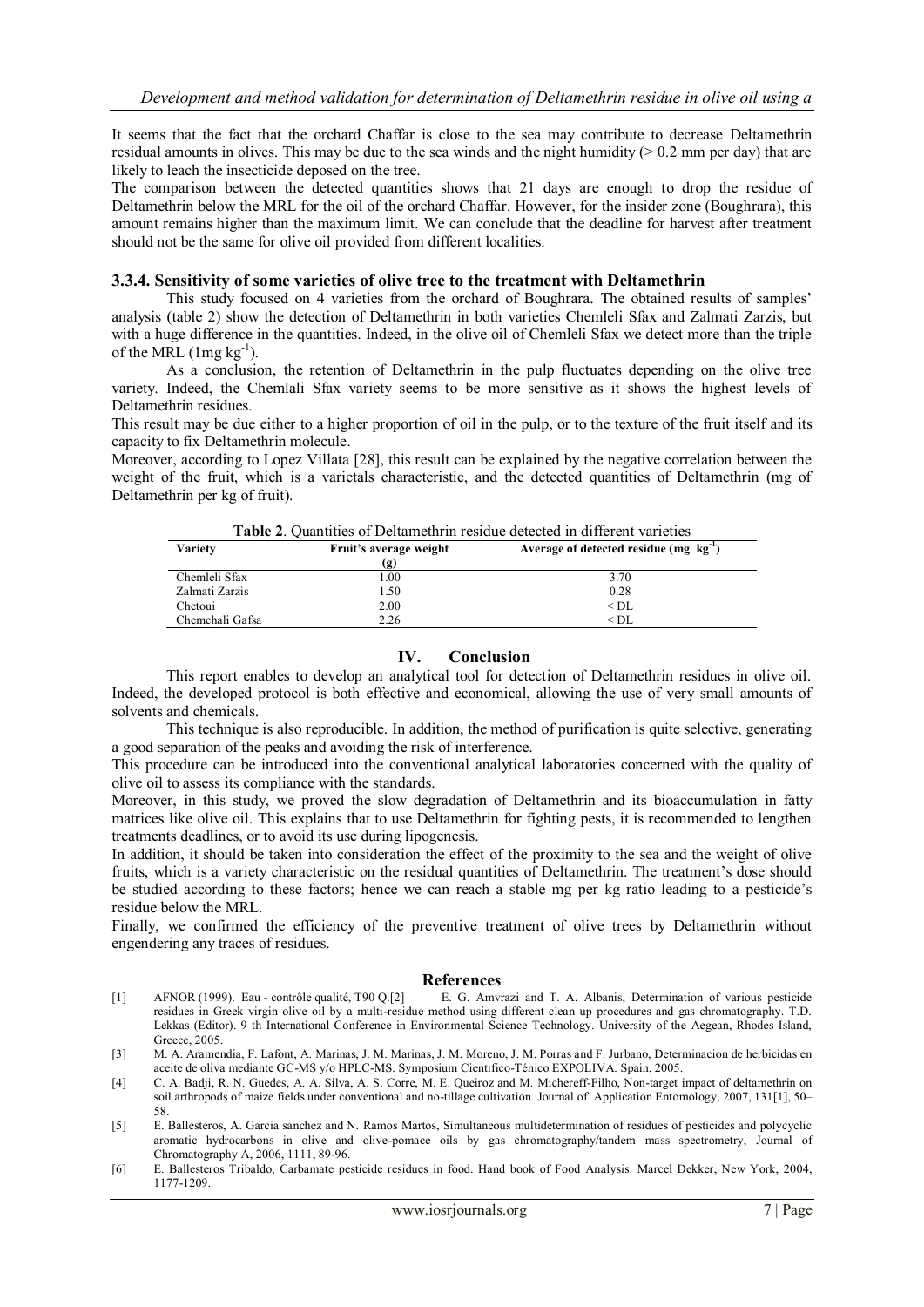It seems that the fact that the orchard Chaffar is close to the sea may contribute to decrease Deltamethrin residual amounts in olives. This may be due to the sea winds and the night humidity ( $> 0.2$  mm per day) that are likely to leach the insecticide deposed on the tree.

The comparison between the detected quantities shows that 21 days are enough to drop the residue of Deltamethrin below the MRL for the oil of the orchard Chaffar. However, for the insider zone (Boughrara), this amount remains higher than the maximum limit. We can conclude that the deadline for harvest after treatment should not be the same for olive oil provided from different localities.

#### **3.3.4. Sensitivity of some varieties of olive tree to the treatment with Deltamethrin**

This study focused on 4 varieties from the orchard of Boughrara. The obtained results of samples' analysis (table 2) show the detection of Deltamethrin in both varieties Chemleli Sfax and Zalmati Zarzis, but with a huge difference in the quantities. Indeed, in the olive oil of Chemleli Sfax we detect more than the triple of the MRL  $(1mg \, kg^{-1})$ .

As a conclusion, the retention of Deltamethrin in the pulp fluctuates depending on the olive tree variety. Indeed, the Chemlali Sfax variety seems to be more sensitive as it shows the highest levels of Deltamethrin residues.

This result may be due either to a higher proportion of oil in the pulp, or to the texture of the fruit itself and its capacity to fix Deltamethrin molecule.

Moreover, according to Lopez Villata [28], this result can be explained by the negative correlation between the weight of the fruit, which is a varietals characteristic, and the detected quantities of Deltamethrin (mg of Deltamethrin per kg of fruit).

**Table 2**. Quantities of Deltamethrin residue detected in different varieties

| Tuoiv =. Caantituo of Bonamoun'in rostage geneeteg in anner varieties |                        |                                              |  |
|-----------------------------------------------------------------------|------------------------|----------------------------------------------|--|
| Variety                                                               | Fruit's average weight | Average of detected residue $(mg \ kg^{-1})$ |  |
|                                                                       | (g)                    |                                              |  |
| Chemleli Sfax                                                         | 1.00                   | 3.70                                         |  |
| Zalmati Zarzis                                                        | 1.50                   | 0.28                                         |  |
| Chetoui                                                               | 2.00                   | $<$ DL                                       |  |
| Chemchali Gafsa                                                       | 2.26                   | $\leq$ DL                                    |  |

#### **IV. Conclusion**

This report enables to develop an analytical tool for detection of Deltamethrin residues in olive oil. Indeed, the developed protocol is both effective and economical, allowing the use of very small amounts of solvents and chemicals.

This technique is also reproducible. In addition, the method of purification is quite selective, generating a good separation of the peaks and avoiding the risk of interference.

This procedure can be introduced into the conventional analytical laboratories concerned with the quality of olive oil to assess its compliance with the standards.

Moreover, in this study, we proved the slow degradation of Deltamethrin and its bioaccumulation in fatty matrices like olive oil. This explains that to use Deltamethrin for fighting pests, it is recommended to lengthen treatments deadlines, or to avoid its use during lipogenesis.

In addition, it should be taken into consideration the effect of the proximity to the sea and the weight of olive fruits, which is a variety characteristic on the residual quantities of Deltamethrin. The treatment's dose should be studied according to these factors; hence we can reach a stable mg per kg ratio leading to a pesticide's residue below the MRL.

Finally, we confirmed the efficiency of the preventive treatment of olive trees by Deltamethrin without engendering any traces of residues.

#### **References**

- [1] AFNOR (1999). Eau contrôle qualité, T90 Q.[2] E. G. Amvrazi and T. A. Albanis, Determination of various pesticide residues in Greek virgin olive oil by a multi-residue method using different clean up procedures and gas chromatography. T.D. Lekkas (Editor). 9 th International Conference in Environmental Science Technology. University of the Aegean, Rhodes Island, Greece, 2005.
- [3] M. A. Aramendia, F. Lafont, A. Marinas, J. M. Marinas, J. M. Moreno, J. M. Porras and F. Jurbano, Determinacion de herbicidas en aceite de oliva mediante GC-MS y/o HPLC-MS. Symposium Cientıfico-Ténico EXPOLIVA. Spain, 2005.
- [4] C. A. Badji, R. N. Guedes, A. A. Silva, A. S. Corre, M. E. Queiroz and M. Michereff-Filho, Non-target impact of deltamethrin on soil arthropods of maize fields under conventional and no-tillage cultivation. Journal of Application Entomology, 2007, 131[1], 50– 58.
- [5] E. Ballesteros, A. Garcia sanchez and N. Ramos Martos, Simultaneous multidetermination of residues of pesticides and polycyclic aromatic hydrocarbons in olive and olive-pomace oils by gas chromatography/tandem mass spectrometry, Journal of Chromatography A, 2006, 1111, 89-96.
- [6] E. Ballesteros Tribaldo, Carbamate pesticide residues in food. Hand book of Food Analysis. Marcel Dekker, New York, 2004, 1177-1209.